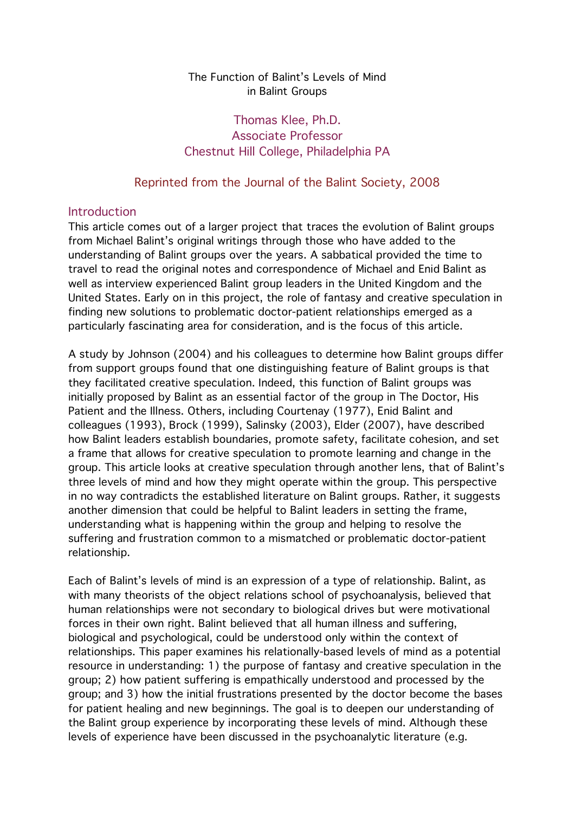#### The Function of Balint's Levels of Mind in Balint Groups

## Thomas Klee, Ph.D. Associate Professor Chestnut Hill College, Philadelphia PA

## Reprinted from the Journal of the Balint Society, 2008

### Introduction

This article comes out of a larger project that traces the evolution of Balint groups from Michael Balint's original writings through those who have added to the understanding of Balint groups over the years. A sabbatical provided the time to travel to read the original notes and correspondence of Michael and Enid Balint as well as interview experienced Balint group leaders in the United Kingdom and the United States. Early on in this project, the role of fantasy and creative speculation in finding new solutions to problematic doctor-patient relationships emerged as a particularly fascinating area for consideration, and is the focus of this article.

A study by Johnson (2004) and his colleagues to determine how Balint groups differ from support groups found that one distinguishing feature of Balint groups is that they facilitated creative speculation. Indeed, this function of Balint groups was initially proposed by Balint as an essential factor of the group in The Doctor, His Patient and the Illness. Others, including Courtenay (1977), Enid Balint and colleagues (1993), Brock (1999), Salinsky (2003), Elder (2007), have described how Balint leaders establish boundaries, promote safety, facilitate cohesion, and set a frame that allows for creative speculation to promote learning and change in the group. This article looks at creative speculation through another lens, that of Balint's three levels of mind and how they might operate within the group. This perspective in no way contradicts the established literature on Balint groups. Rather, it suggests another dimension that could be helpful to Balint leaders in setting the frame, understanding what is happening within the group and helping to resolve the suffering and frustration common to a mismatched or problematic doctor-patient relationship.

Each of Balint's levels of mind is an expression of a type of relationship. Balint, as with many theorists of the object relations school of psychoanalysis, believed that human relationships were not secondary to biological drives but were motivational forces in their own right. Balint believed that all human illness and suffering, biological and psychological, could be understood only within the context of relationships. This paper examines his relationally-based levels of mind as a potential resource in understanding: 1) the purpose of fantasy and creative speculation in the group; 2) how patient suffering is empathically understood and processed by the group; and 3) how the initial frustrations presented by the doctor become the bases for patient healing and new beginnings. The goal is to deepen our understanding of the Balint group experience by incorporating these levels of mind. Although these levels of experience have been discussed in the psychoanalytic literature (e.g.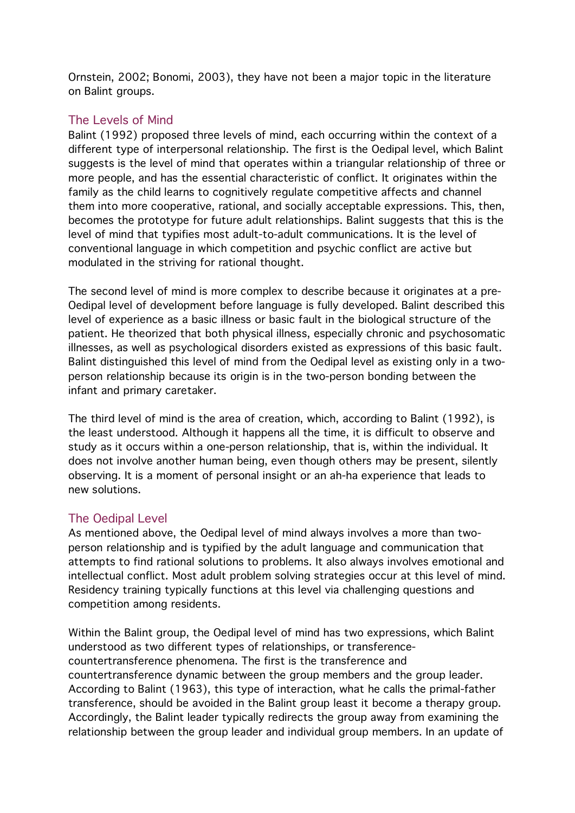Ornstein, 2002; Bonomi, 2003), they have not been a major topic in the literature on Balint groups.

## The Levels of Mind

Balint (1992) proposed three levels of mind, each occurring within the context of a different type of interpersonal relationship. The first is the Oedipal level, which Balint suggests is the level of mind that operates within a triangular relationship of three or more people, and has the essential characteristic of conflict. It originates within the family as the child learns to cognitively regulate competitive affects and channel them into more cooperative, rational, and socially acceptable expressions. This, then, becomes the prototype for future adult relationships. Balint suggests that this is the level of mind that typifies most adult-to-adult communications. It is the level of conventional language in which competition and psychic conflict are active but modulated in the striving for rational thought.

The second level of mind is more complex to describe because it originates at a pre-Oedipal level of development before language is fully developed. Balint described this level of experience as a basic illness or basic fault in the biological structure of the patient. He theorized that both physical illness, especially chronic and psychosomatic illnesses, as well as psychological disorders existed as expressions of this basic fault. Balint distinguished this level of mind from the Oedipal level as existing only in a twoperson relationship because its origin is in the two-person bonding between the infant and primary caretaker.

The third level of mind is the area of creation, which, according to Balint (1992), is the least understood. Although it happens all the time, it is difficult to observe and study as it occurs within a one-person relationship, that is, within the individual. It does not involve another human being, even though others may be present, silently observing. It is a moment of personal insight or an ah-ha experience that leads to new solutions.

# The Oedipal Level

As mentioned above, the Oedipal level of mind always involves a more than twoperson relationship and is typified by the adult language and communication that attempts to find rational solutions to problems. It also always involves emotional and intellectual conflict. Most adult problem solving strategies occur at this level of mind. Residency training typically functions at this level via challenging questions and competition among residents.

Within the Balint group, the Oedipal level of mind has two expressions, which Balint understood as two different types of relationships, or transferencecountertransference phenomena. The first is the transference and countertransference dynamic between the group members and the group leader. According to Balint (1963), this type of interaction, what he calls the primal-father transference, should be avoided in the Balint group least it become a therapy group. Accordingly, the Balint leader typically redirects the group away from examining the relationship between the group leader and individual group members. In an update of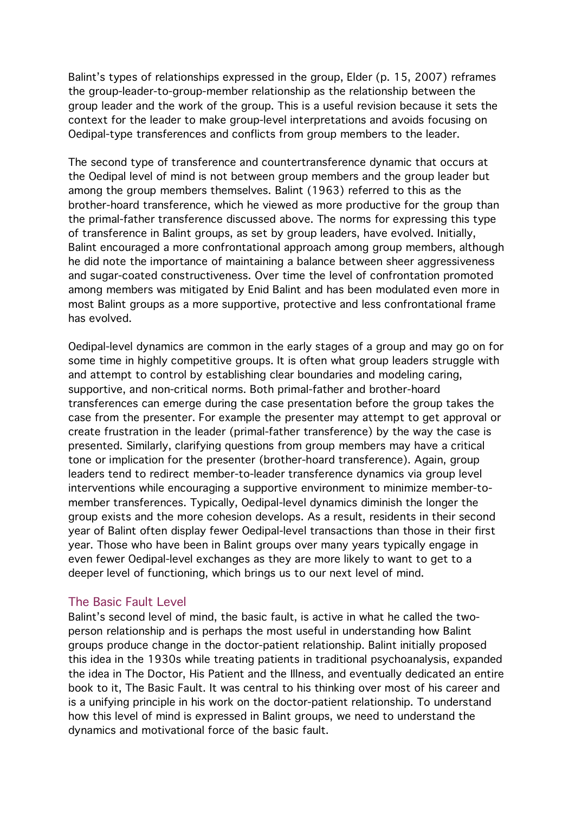Balint's types of relationships expressed in the group, Elder (p. 15, 2007) reframes the group-leader-to-group-member relationship as the relationship between the group leader and the work of the group. This is a useful revision because it sets the context for the leader to make group-level interpretations and avoids focusing on Oedipal-type transferences and conflicts from group members to the leader.

The second type of transference and countertransference dynamic that occurs at the Oedipal level of mind is not between group members and the group leader but among the group members themselves. Balint (1963) referred to this as the brother-hoard transference, which he viewed as more productive for the group than the primal-father transference discussed above. The norms for expressing this type of transference in Balint groups, as set by group leaders, have evolved. Initially, Balint encouraged a more confrontational approach among group members, although he did note the importance of maintaining a balance between sheer aggressiveness and sugar-coated constructiveness. Over time the level of confrontation promoted among members was mitigated by Enid Balint and has been modulated even more in most Balint groups as a more supportive, protective and less confrontational frame has evolved.

Oedipal-level dynamics are common in the early stages of a group and may go on for some time in highly competitive groups. It is often what group leaders struggle with and attempt to control by establishing clear boundaries and modeling caring, supportive, and non-critical norms. Both primal-father and brother-hoard transferences can emerge during the case presentation before the group takes the case from the presenter. For example the presenter may attempt to get approval or create frustration in the leader (primal-father transference) by the way the case is presented. Similarly, clarifying questions from group members may have a critical tone or implication for the presenter (brother-hoard transference). Again, group leaders tend to redirect member-to-leader transference dynamics via group level interventions while encouraging a supportive environment to minimize member-tomember transferences. Typically, Oedipal-level dynamics diminish the longer the group exists and the more cohesion develops. As a result, residents in their second year of Balint often display fewer Oedipal-level transactions than those in their first year. Those who have been in Balint groups over many years typically engage in even fewer Oedipal-level exchanges as they are more likely to want to get to a deeper level of functioning, which brings us to our next level of mind.

#### The Basic Fault Level

Balint's second level of mind, the basic fault, is active in what he called the twoperson relationship and is perhaps the most useful in understanding how Balint groups produce change in the doctor-patient relationship. Balint initially proposed this idea in the 1930s while treating patients in traditional psychoanalysis, expanded the idea in The Doctor, His Patient and the Illness, and eventually dedicated an entire book to it, The Basic Fault. It was central to his thinking over most of his career and is a unifying principle in his work on the doctor-patient relationship. To understand how this level of mind is expressed in Balint groups, we need to understand the dynamics and motivational force of the basic fault.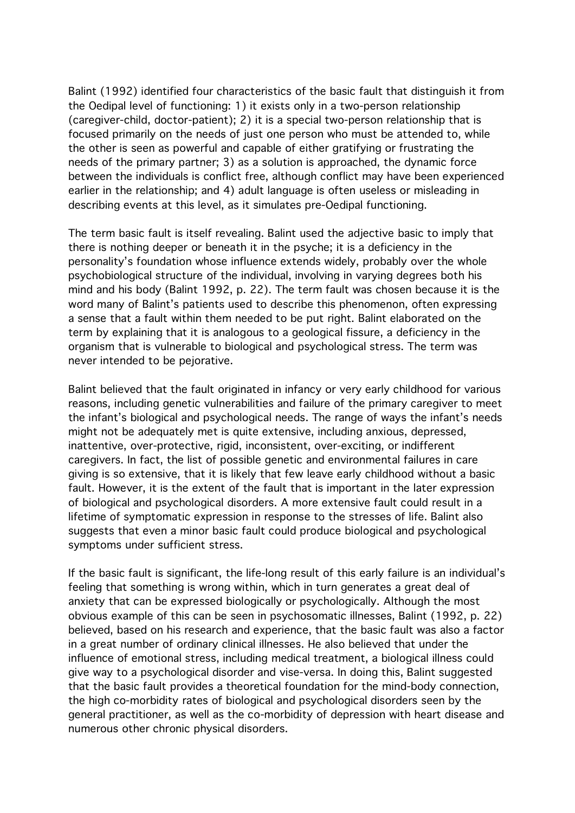Balint (1992) identified four characteristics of the basic fault that distinguish it from the Oedipal level of functioning: 1) it exists only in a two-person relationship (caregiver-child, doctor-patient); 2) it is a special two-person relationship that is focused primarily on the needs of just one person who must be attended to, while the other is seen as powerful and capable of either gratifying or frustrating the needs of the primary partner; 3) as a solution is approached, the dynamic force between the individuals is conflict free, although conflict may have been experienced earlier in the relationship; and 4) adult language is often useless or misleading in describing events at this level, as it simulates pre-Oedipal functioning.

The term basic fault is itself revealing. Balint used the adjective basic to imply that there is nothing deeper or beneath it in the psyche; it is a deficiency in the personality's foundation whose influence extends widely, probably over the whole psychobiological structure of the individual, involving in varying degrees both his mind and his body (Balint 1992, p. 22). The term fault was chosen because it is the word many of Balint's patients used to describe this phenomenon, often expressing a sense that a fault within them needed to be put right. Balint elaborated on the term by explaining that it is analogous to a geological fissure, a deficiency in the organism that is vulnerable to biological and psychological stress. The term was never intended to be pejorative.

Balint believed that the fault originated in infancy or very early childhood for various reasons, including genetic vulnerabilities and failure of the primary caregiver to meet the infant's biological and psychological needs. The range of ways the infant's needs might not be adequately met is quite extensive, including anxious, depressed, inattentive, over-protective, rigid, inconsistent, over-exciting, or indifferent caregivers. In fact, the list of possible genetic and environmental failures in care giving is so extensive, that it is likely that few leave early childhood without a basic fault. However, it is the extent of the fault that is important in the later expression of biological and psychological disorders. A more extensive fault could result in a lifetime of symptomatic expression in response to the stresses of life. Balint also suggests that even a minor basic fault could produce biological and psychological symptoms under sufficient stress.

If the basic fault is significant, the life-long result of this early failure is an individual's feeling that something is wrong within, which in turn generates a great deal of anxiety that can be expressed biologically or psychologically. Although the most obvious example of this can be seen in psychosomatic illnesses, Balint (1992, p. 22) believed, based on his research and experience, that the basic fault was also a factor in a great number of ordinary clinical illnesses. He also believed that under the influence of emotional stress, including medical treatment, a biological illness could give way to a psychological disorder and vise-versa. In doing this, Balint suggested that the basic fault provides a theoretical foundation for the mind-body connection, the high co-morbidity rates of biological and psychological disorders seen by the general practitioner, as well as the co-morbidity of depression with heart disease and numerous other chronic physical disorders.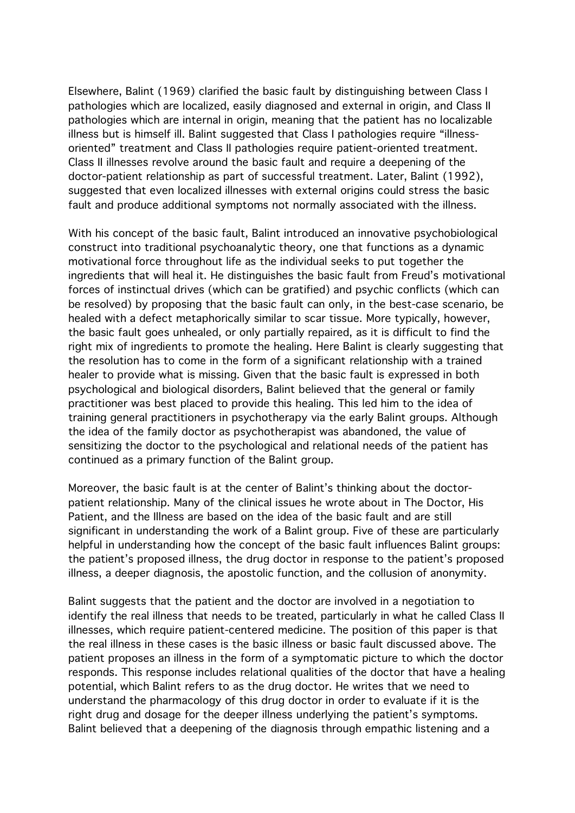Elsewhere, Balint (1969) clarified the basic fault by distinguishing between Class I pathologies which are localized, easily diagnosed and external in origin, and Class II pathologies which are internal in origin, meaning that the patient has no localizable illness but is himself ill. Balint suggested that Class I pathologies require "illnessoriented" treatment and Class II pathologies require patient-oriented treatment. Class II illnesses revolve around the basic fault and require a deepening of the doctor-patient relationship as part of successful treatment. Later, Balint (1992), suggested that even localized illnesses with external origins could stress the basic fault and produce additional symptoms not normally associated with the illness.

With his concept of the basic fault, Balint introduced an innovative psychobiological construct into traditional psychoanalytic theory, one that functions as a dynamic motivational force throughout life as the individual seeks to put together the ingredients that will heal it. He distinguishes the basic fault from Freud's motivational forces of instinctual drives (which can be gratified) and psychic conflicts (which can be resolved) by proposing that the basic fault can only, in the best-case scenario, be healed with a defect metaphorically similar to scar tissue. More typically, however, the basic fault goes unhealed, or only partially repaired, as it is difficult to find the right mix of ingredients to promote the healing. Here Balint is clearly suggesting that the resolution has to come in the form of a significant relationship with a trained healer to provide what is missing. Given that the basic fault is expressed in both psychological and biological disorders, Balint believed that the general or family practitioner was best placed to provide this healing. This led him to the idea of training general practitioners in psychotherapy via the early Balint groups. Although the idea of the family doctor as psychotherapist was abandoned, the value of sensitizing the doctor to the psychological and relational needs of the patient has continued as a primary function of the Balint group.

Moreover, the basic fault is at the center of Balint's thinking about the doctorpatient relationship. Many of the clinical issues he wrote about in The Doctor, His Patient, and the Illness are based on the idea of the basic fault and are still significant in understanding the work of a Balint group. Five of these are particularly helpful in understanding how the concept of the basic fault influences Balint groups: the patient's proposed illness, the drug doctor in response to the patient's proposed illness, a deeper diagnosis, the apostolic function, and the collusion of anonymity.

Balint suggests that the patient and the doctor are involved in a negotiation to identify the real illness that needs to be treated, particularly in what he called Class II illnesses, which require patient-centered medicine. The position of this paper is that the real illness in these cases is the basic illness or basic fault discussed above. The patient proposes an illness in the form of a symptomatic picture to which the doctor responds. This response includes relational qualities of the doctor that have a healing potential, which Balint refers to as the drug doctor. He writes that we need to understand the pharmacology of this drug doctor in order to evaluate if it is the right drug and dosage for the deeper illness underlying the patient's symptoms. Balint believed that a deepening of the diagnosis through empathic listening and a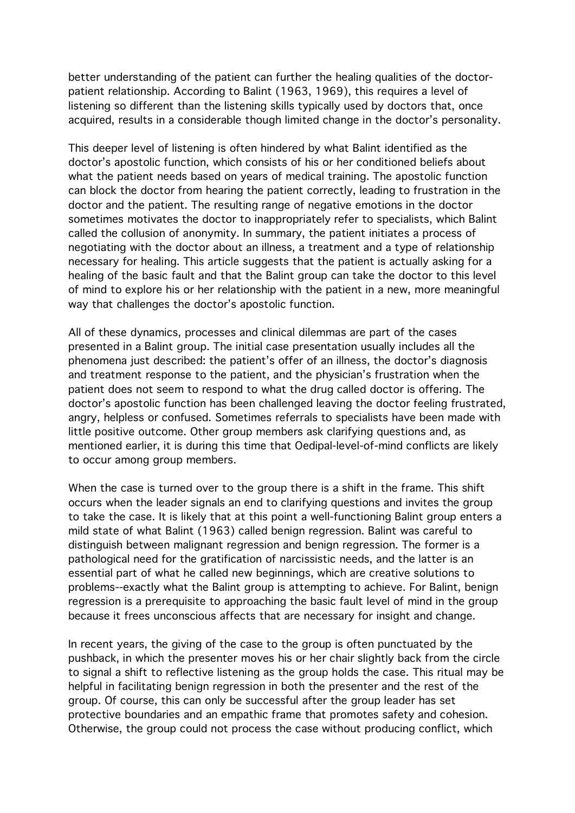better understanding of the patient can further the healing qualities of the doctorpatient relationship. According to Balint (1963, 1969), this requires a level of listening so different than the listening skills typically used by doctors that, once acquired, results in a considerable though limited change in the doctor's personality.

This deeper level of listening is often hindered by what Balint identified as the doctor's apostolic function, which consists of his or her conditioned beliefs about what the patient needs based on years of medical training. The apostolic function can block the doctor from hearing the patient correctly, leading to frustration in the doctor and the patient. The resulting range of negative emotions in the doctor sometimes motivates the doctor to inappropriately refer to specialists, which Balint called the collusion of anonymity. In summary, the patient initiates a process of negotiating with the doctor about an illness, a treatment and a type of relationship necessary for healing. This article suggests that the patient is actually asking for a healing of the basic fault and that the Balint group can take the doctor to this level of mind to explore his or her relationship with the patient in a new, more meaningful way that challenges the doctor's apostolic function.

All of these dynamics, processes and clinical dilemmas are part of the cases presented in a Balint group. The initial case presentation usually includes all the phenomena just described: the patient's offer of an illness, the doctor's diagnosis and treatment response to the patient, and the physician's frustration when the patient does not seem to respond to what the drug called doctor is offering. The doctor's apostolic function has been challenged leaving the doctor feeling frustrated, angry, helpless or confused. Sometimes referrals to specialists have been made with little positive outcome. Other group members ask clarifying questions and, as mentioned earlier, it is during this time that Oedipal-level-of-mind conflicts are likely to occur among group members.

When the case is turned over to the group there is a shift in the frame. This shift occurs when the leader signals an end to clarifying questions and invites the group to take the case. It is likely that at this point a well-functioning Balint group enters a mild state of what Balint (1963) called benign regression. Balint was careful to distinguish between malignant regression and benign regression. The former is a pathological need for the gratification of narcissistic needs, and the latter is an essential part of what he called new beginnings, which are creative solutions to problems--exactly what the Balint group is attempting to achieve. For Balint, benign regression is a prerequisite to approaching the basic fault level of mind in the group because it frees unconscious affects that are necessary for insight and change.

In recent years, the giving of the case to the group is often punctuated by the pushback, in which the presenter moves his or her chair slightly back from the circle to signal a shift to reflective listening as the group holds the case. This ritual may be helpful in facilitating benign regression in both the presenter and the rest of the group. Of course, this can only be successful after the group leader has set protective boundaries and an empathic frame that promotes safety and cohesion. Otherwise, the group could not process the case without producing conflict, which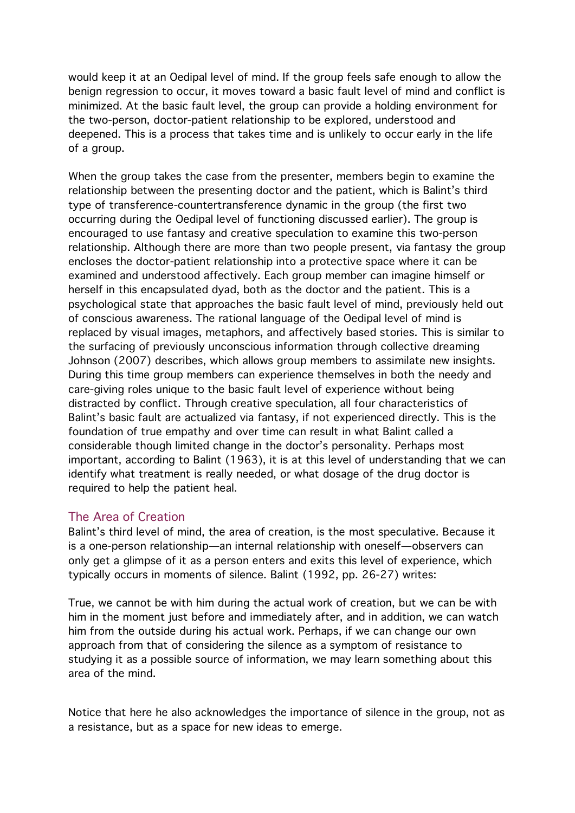would keep it at an Oedipal level of mind. If the group feels safe enough to allow the benign regression to occur, it moves toward a basic fault level of mind and conflict is minimized. At the basic fault level, the group can provide a holding environment for the two-person, doctor-patient relationship to be explored, understood and deepened. This is a process that takes time and is unlikely to occur early in the life of a group.

When the group takes the case from the presenter, members begin to examine the relationship between the presenting doctor and the patient, which is Balint's third type of transference-countertransference dynamic in the group (the first two occurring during the Oedipal level of functioning discussed earlier). The group is encouraged to use fantasy and creative speculation to examine this two-person relationship. Although there are more than two people present, via fantasy the group encloses the doctor-patient relationship into a protective space where it can be examined and understood affectively. Each group member can imagine himself or herself in this encapsulated dyad, both as the doctor and the patient. This is a psychological state that approaches the basic fault level of mind, previously held out of conscious awareness. The rational language of the Oedipal level of mind is replaced by visual images, metaphors, and affectively based stories. This is similar to the surfacing of previously unconscious information through collective dreaming Johnson (2007) describes, which allows group members to assimilate new insights. During this time group members can experience themselves in both the needy and care-giving roles unique to the basic fault level of experience without being distracted by conflict. Through creative speculation, all four characteristics of Balint's basic fault are actualized via fantasy, if not experienced directly. This is the foundation of true empathy and over time can result in what Balint called a considerable though limited change in the doctor's personality. Perhaps most important, according to Balint (1963), it is at this level of understanding that we can identify what treatment is really needed, or what dosage of the drug doctor is required to help the patient heal.

## The Area of Creation

Balint's third level of mind, the area of creation, is the most speculative. Because it is a one-person relationship—an internal relationship with oneself—observers can only get a glimpse of it as a person enters and exits this level of experience, which typically occurs in moments of silence. Balint (1992, pp. 26-27) writes:

True, we cannot be with him during the actual work of creation, but we can be with him in the moment just before and immediately after, and in addition, we can watch him from the outside during his actual work. Perhaps, if we can change our own approach from that of considering the silence as a symptom of resistance to studying it as a possible source of information, we may learn something about this area of the mind.

Notice that here he also acknowledges the importance of silence in the group, not as a resistance, but as a space for new ideas to emerge.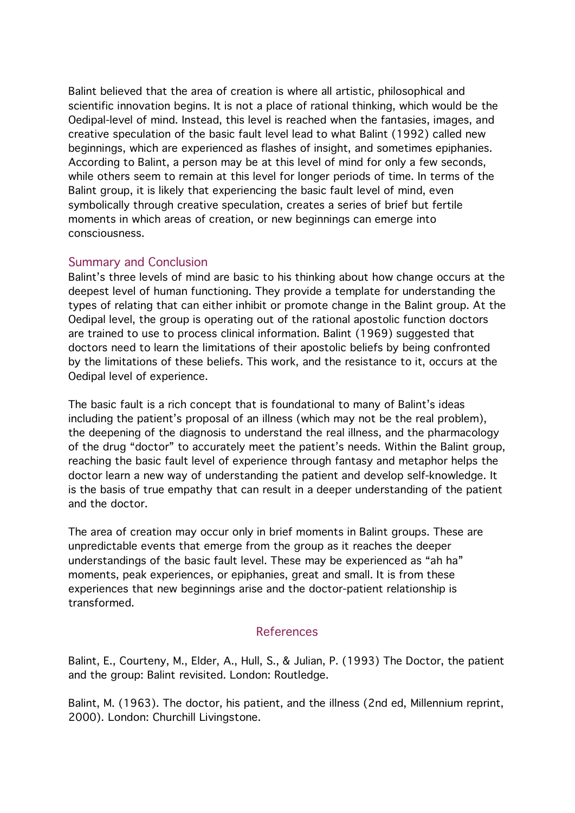Balint believed that the area of creation is where all artistic, philosophical and scientific innovation begins. It is not a place of rational thinking, which would be the Oedipal-level of mind. Instead, this level is reached when the fantasies, images, and creative speculation of the basic fault level lead to what Balint (1992) called new beginnings, which are experienced as flashes of insight, and sometimes epiphanies. According to Balint, a person may be at this level of mind for only a few seconds, while others seem to remain at this level for longer periods of time. In terms of the Balint group, it is likely that experiencing the basic fault level of mind, even symbolically through creative speculation, creates a series of brief but fertile moments in which areas of creation, or new beginnings can emerge into consciousness.

## Summary and Conclusion

Balint's three levels of mind are basic to his thinking about how change occurs at the deepest level of human functioning. They provide a template for understanding the types of relating that can either inhibit or promote change in the Balint group. At the Oedipal level, the group is operating out of the rational apostolic function doctors are trained to use to process clinical information. Balint (1969) suggested that doctors need to learn the limitations of their apostolic beliefs by being confronted by the limitations of these beliefs. This work, and the resistance to it, occurs at the Oedipal level of experience.

The basic fault is a rich concept that is foundational to many of Balint's ideas including the patient's proposal of an illness (which may not be the real problem), the deepening of the diagnosis to understand the real illness, and the pharmacology of the drug "doctor" to accurately meet the patient's needs. Within the Balint group, reaching the basic fault level of experience through fantasy and metaphor helps the doctor learn a new way of understanding the patient and develop self-knowledge. It is the basis of true empathy that can result in a deeper understanding of the patient and the doctor.

The area of creation may occur only in brief moments in Balint groups. These are unpredictable events that emerge from the group as it reaches the deeper understandings of the basic fault level. These may be experienced as "ah ha" moments, peak experiences, or epiphanies, great and small. It is from these experiences that new beginnings arise and the doctor-patient relationship is transformed.

# References

Balint, E., Courteny, M., Elder, A., Hull, S., & Julian, P. (1993) The Doctor, the patient and the group: Balint revisited. London: Routledge.

Balint, M. (1963). The doctor, his patient, and the illness (2nd ed, Millennium reprint, 2000). London: Churchill Livingstone.